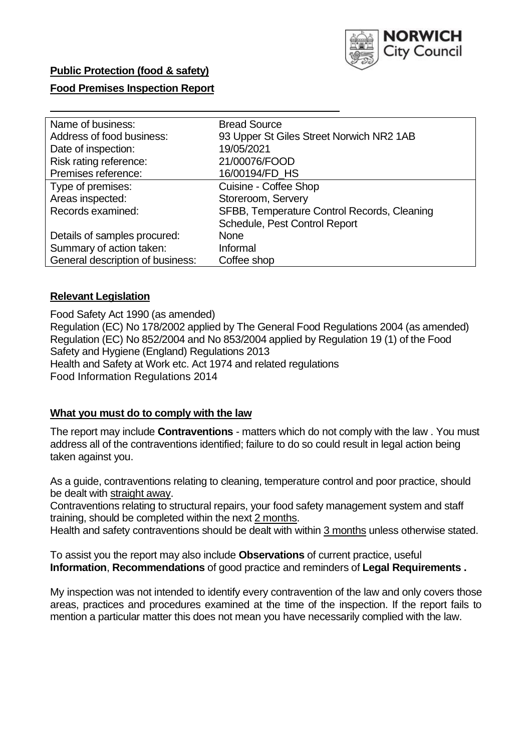

## **Public Protection (food & safety)**

### **Food Premises Inspection Report**

| Name of business:                | <b>Bread Source</b>                         |
|----------------------------------|---------------------------------------------|
| Address of food business:        | 93 Upper St Giles Street Norwich NR2 1AB    |
| Date of inspection:              | 19/05/2021                                  |
| Risk rating reference:           | 21/00076/FOOD                               |
| Premises reference:              | 16/00194/FD_HS                              |
| Type of premises:                | Cuisine - Coffee Shop                       |
| Areas inspected:                 | Storeroom, Servery                          |
| Records examined:                | SFBB, Temperature Control Records, Cleaning |
|                                  | Schedule, Pest Control Report               |
| Details of samples procured:     | None                                        |
| Summary of action taken:         | Informal                                    |
| General description of business: | Coffee shop                                 |

#### **Relevant Legislation**

 Food Safety Act 1990 (as amended) Regulation (EC) No 178/2002 applied by The General Food Regulations 2004 (as amended) Regulation (EC) No 852/2004 and No 853/2004 applied by Regulation 19 (1) of the Food Safety and Hygiene (England) Regulations 2013 Health and Safety at Work etc. Act 1974 and related regulations Food Information Regulations 2014

#### **What you must do to comply with the law**

 The report may include **Contraventions** - matters which do not comply with the law . You must address all of the contraventions identified; failure to do so could result in legal action being taken against you.

 As a guide, contraventions relating to cleaning, temperature control and poor practice, should be dealt with straight away.

 Contraventions relating to structural repairs, your food safety management system and staff training, should be completed within the next 2 months.

Health and safety contraventions should be dealt with within 3 months unless otherwise stated.

 To assist you the report may also include **Observations** of current practice, useful **Information**, **Recommendations** of good practice and reminders of **Legal Requirements .** 

 My inspection was not intended to identify every contravention of the law and only covers those areas, practices and procedures examined at the time of the inspection. If the report fails to mention a particular matter this does not mean you have necessarily complied with the law.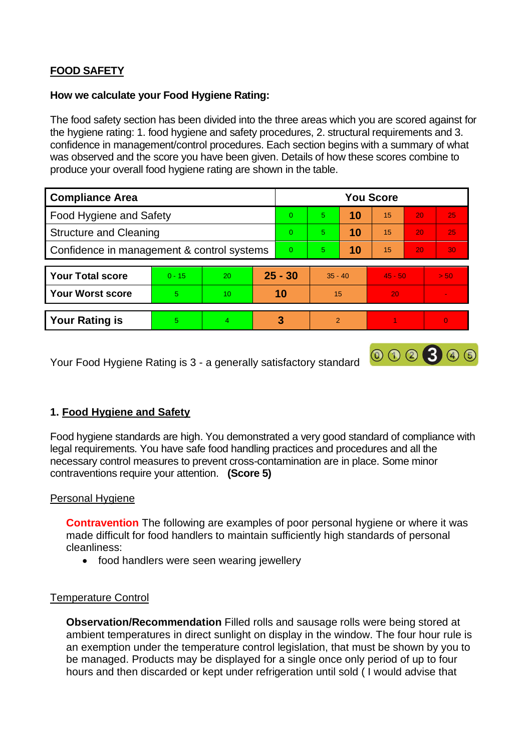# **FOOD SAFETY**

### **How we calculate your Food Hygiene Rating:**

 The food safety section has been divided into the three areas which you are scored against for the hygiene rating: 1. food hygiene and safety procedures, 2. structural requirements and 3. confidence in management/control procedures. Each section begins with a summary of what was observed and the score you have been given. Details of how these scores combine to produce your overall food hygiene rating are shown in the table.

| <b>Compliance Area</b>                     |          |           |           | <b>You Score</b> |                |    |           |    |          |  |  |
|--------------------------------------------|----------|-----------|-----------|------------------|----------------|----|-----------|----|----------|--|--|
| Food Hygiene and Safety                    |          |           |           | $\Omega$         | 5              | 10 | 15        | 20 | 25       |  |  |
| <b>Structure and Cleaning</b>              |          |           | $\Omega$  | 5                | 10             | 15 | 20        | 25 |          |  |  |
| Confidence in management & control systems |          |           | $\Omega$  | 5                | 10             | 15 | 20        | 30 |          |  |  |
|                                            |          |           |           |                  |                |    |           |    |          |  |  |
| <b>Your Total score</b>                    | $0 - 15$ | <b>20</b> | $25 - 30$ |                  | $35 - 40$      |    | $45 - 50$ |    | > 50     |  |  |
| <b>Your Worst score</b>                    | 5        | 10        | 10        |                  | 15             |    | 20        |    |          |  |  |
|                                            |          |           |           |                  |                |    |           |    |          |  |  |
| <b>Your Rating is</b>                      | 5.       | 4         |           | 3                | $\overline{2}$ |    |           |    | $\Omega$ |  |  |

Your Food Hygiene Rating is 3 - a generally satisfactory standard

## **1. Food Hygiene and Safety**

 Food hygiene standards are high. You demonstrated a very good standard of compliance with legal requirements. You have safe food handling practices and procedures and all the necessary control measures to prevent cross-contamination are in place. Some minor contraventions require your attention. **(Score 5)** 

000300

### Personal Hygiene

**Contravention** The following are examples of poor personal hygiene or where it was made difficult for food handlers to maintain sufficiently high standards of personal cleanliness:

• food handlers were seen wearing jewellery

### Temperature Control

 an exemption under the temperature control legislation, that must be shown by you to **Observation/Recommendation** Filled rolls and sausage rolls were being stored at ambient temperatures in direct sunlight on display in the window. The four hour rule is be managed. Products may be displayed for a single once only period of up to four hours and then discarded or kept under refrigeration until sold ( I would advise that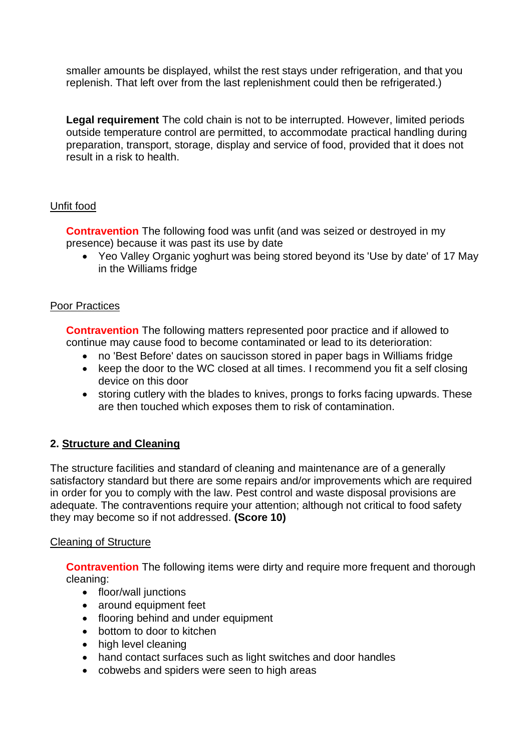smaller amounts be displayed, whilst the rest stays under refrigeration, and that you replenish. That left over from the last replenishment could then be refrigerated.)

**Legal requirement** The cold chain is not to be interrupted. However, limited periods outside temperature control are permitted, to accommodate practical handling during preparation, transport, storage, display and service of food, provided that it does not result in a risk to health.

## Unfit food

**Contravention** The following food was unfit (and was seized or destroyed in my presence) because it was past its use by date

 • Yeo Valley Organic yoghurt was being stored beyond its 'Use by date' of 17 May in the Williams fridge

### Poor Practices

**Contravention** The following matters represented poor practice and if allowed to continue may cause food to become contaminated or lead to its deterioration:

- no 'Best Before' dates on saucisson stored in paper bags in Williams fridge
- keep the door to the WC closed at all times. I recommend you fit a self closing device on this door
- storing cutlery with the blades to knives, prongs to forks facing upwards. These are then touched which exposes them to risk of contamination.

## **2. Structure and Cleaning**

 satisfactory standard but there are some repairs and/or improvements which are required The structure facilities and standard of cleaning and maintenance are of a generally in order for you to comply with the law. Pest control and waste disposal provisions are adequate. The contraventions require your attention; although not critical to food safety they may become so if not addressed. **(Score 10)** 

### Cleaning of Structure

**Contravention** The following items were dirty and require more frequent and thorough cleaning:

- floor/wall junctions
- around equipment feet
- flooring behind and under equipment
- bottom to door to kitchen
- high level cleaning
- hand contact surfaces such as light switches and door handles
- cobwebs and spiders were seen to high areas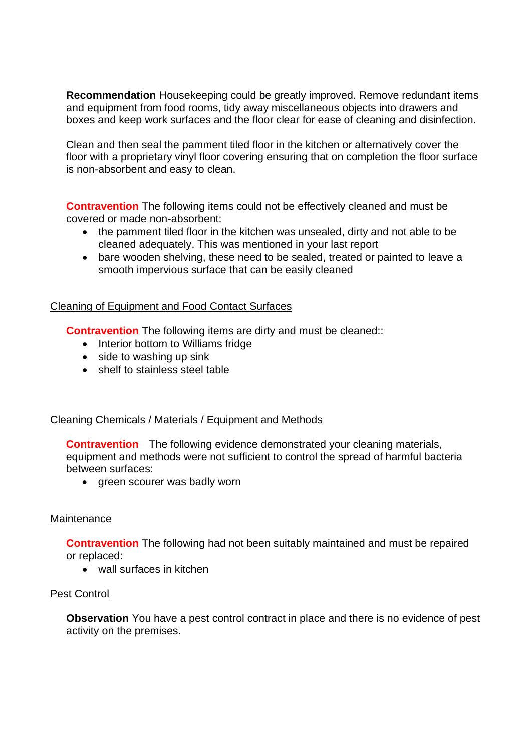and equipment from food rooms, tidy away miscellaneous objects into drawers and **Recommendation** Housekeeping could be greatly improved. Remove redundant items boxes and keep work surfaces and the floor clear for ease of cleaning and disinfection.

Clean and then seal the pamment tiled floor in the kitchen or alternatively cover the floor with a proprietary vinyl floor covering ensuring that on completion the floor surface is non-absorbent and easy to clean.

**Contravention** The following items could not be effectively cleaned and must be covered or made non-absorbent:

- the pamment tiled floor in the kitchen was unsealed, dirty and not able to be cleaned adequately. This was mentioned in your last report
- bare wooden shelving, these need to be sealed, treated or painted to leave a smooth impervious surface that can be easily cleaned

#### Cleaning of Equipment and Food Contact Surfaces

**Contravention** The following items are dirty and must be cleaned::

- Interior bottom to Williams fridge
- side to washing up sink
- shelf to stainless steel table

### Cleaning Chemicals / Materials / Equipment and Methods

**Contravention** The following evidence demonstrated your cleaning materials, equipment and methods were not sufficient to control the spread of harmful bacteria between surfaces:

• green scourer was badly worn

#### **Maintenance**

**Contravention** The following had not been suitably maintained and must be repaired or replaced:

• wall surfaces in kitchen

### Pest Control

 activity on the premises. **Observation** You have a pest control contract in place and there is no evidence of pest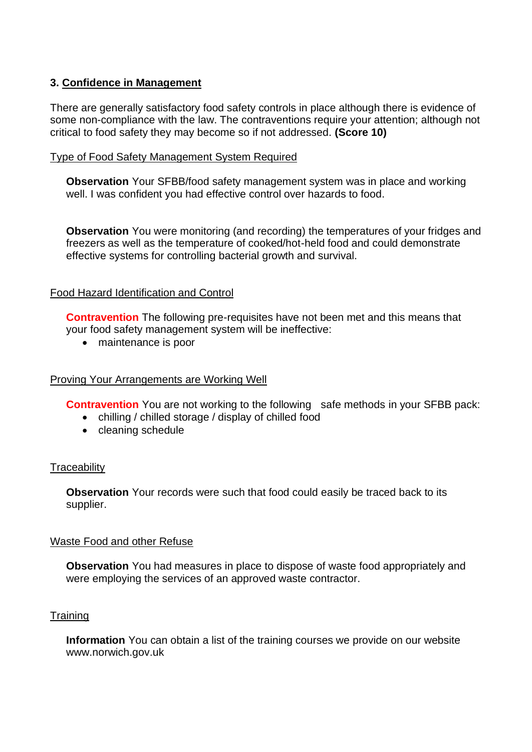## **3. Confidence in Management**

There are generally satisfactory food safety controls in place although there is evidence of some non-compliance with the law. The contraventions require your attention; although not critical to food safety they may become so if not addressed. **(Score 10)** 

#### Type of Food Safety Management System Required

**Observation** Your SFBB/food safety management system was in place and working well. I was confident you had effective control over hazards to food.

 **Observation** You were monitoring (and recording) the temperatures of your fridges and freezers as well as the temperature of cooked/hot-held food and could demonstrate effective systems for controlling bacterial growth and survival.

### Food Hazard Identification and Control

**Contravention** The following pre-requisites have not been met and this means that your food safety management system will be ineffective:

• maintenance is poor

### Proving Your Arrangements are Working Well

**Contravention** You are not working to the following safe methods in your SFBB pack:

- chilling / chilled storage / display of chilled food
- cleaning schedule

#### **Traceability**

**Observation** Your records were such that food could easily be traced back to its supplier.

#### Waste Food and other Refuse

**Observation** You had measures in place to dispose of waste food appropriately and were employing the services of an approved waste contractor.

#### **Training**

**Information** You can obtain a list of the training courses we provide on our website <www.norwich.gov.uk>